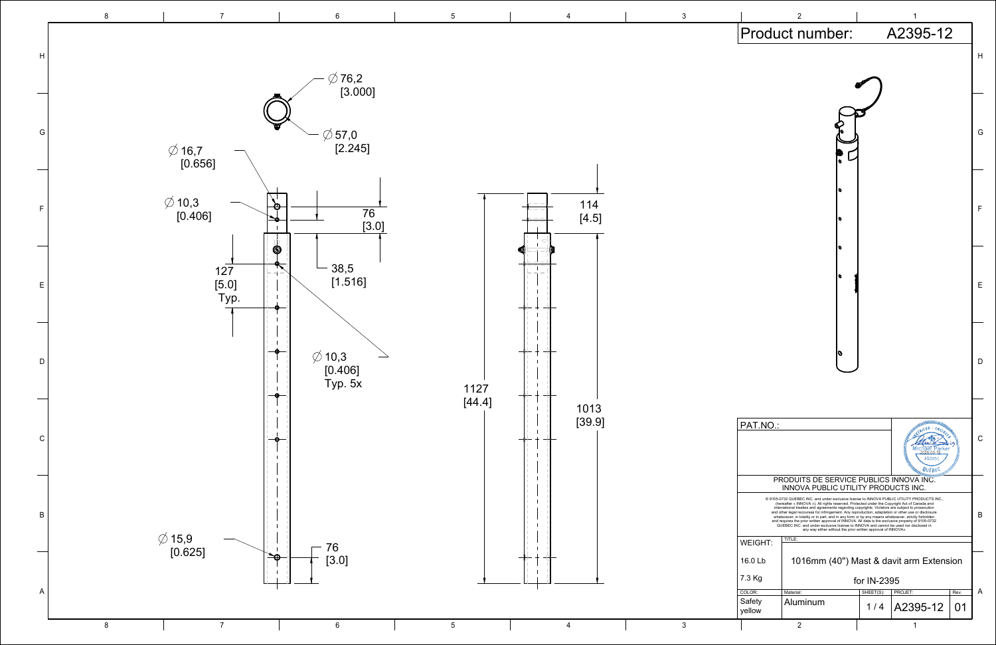

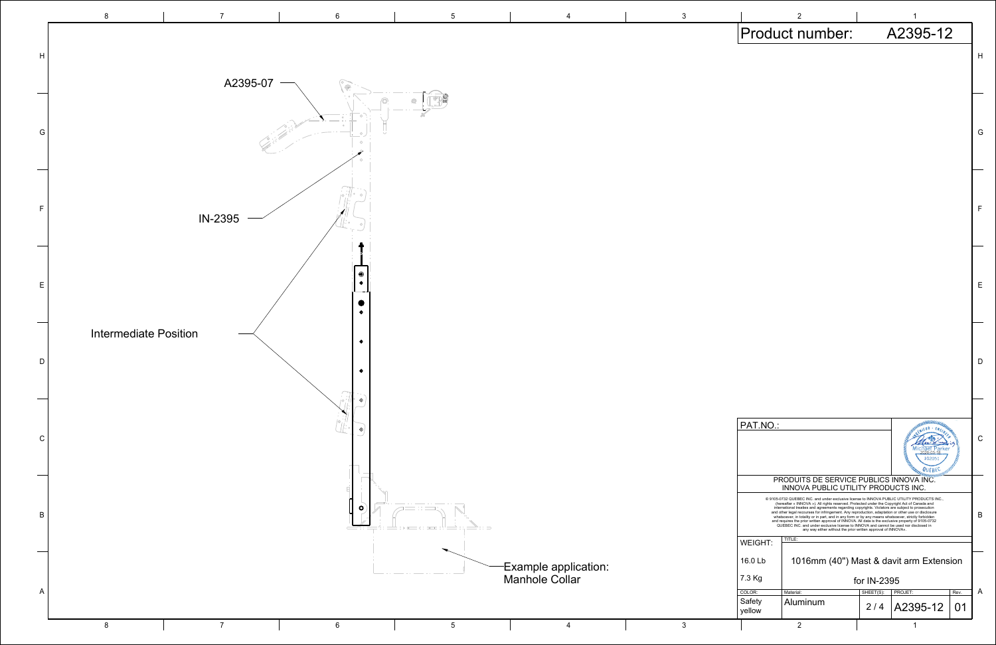| Product number:<br>A2395-12<br>Н<br>G<br>F<br>Е<br>D<br>WWW.MORNIEUR - EN<br>PAT.NO.:<br>С<br>102051<br><b>PRODUITS DE SERVICE PUBLICS INNOVA INC.</b><br>INNOVA PUBLIC UTILITY PRODUCTS IN INC.<br>@ 9105-0732 QUEBEC INC. and under exclusive license to INNOVA PUBLIC UTILITY PRODUCTS INC.,<br>(hereafter « INNOVA »). All rights reserved. Protected under the Copyright Act of Canada and<br>international treaties and agreements regarding copyrights. Violators are subject to prosecution<br>and other legal recourses for infringement. Any reproduction, adaptation or other use or disclosure<br>В<br>whatsoever, in totality or in part, and in any form or by any means whatsoever, strictly forbidden<br>and requires the prior written approval of INNOVA. All data is the exclusive property of 9105-0732<br>QUEBEC INC. and under exclusive license to INNOVA and cannot be used nor disclosed in<br>any way either without the prior written approval of INNOVA».<br>TITLE:<br><b>WEIGHT:</b><br>16.0 Lb<br>1016mm (40") Mast & davit arm Extension<br>7.3 Kg<br>for IN-2395<br>A<br>COLOR:<br>Material:<br>SHEET(S):<br>PROJET:<br>Rev.<br>Safety<br>Aluminum<br>2/4 A2395-12<br>01<br>yellow |  | 2 |  | 1 |  |  |  |
|--------------------------------------------------------------------------------------------------------------------------------------------------------------------------------------------------------------------------------------------------------------------------------------------------------------------------------------------------------------------------------------------------------------------------------------------------------------------------------------------------------------------------------------------------------------------------------------------------------------------------------------------------------------------------------------------------------------------------------------------------------------------------------------------------------------------------------------------------------------------------------------------------------------------------------------------------------------------------------------------------------------------------------------------------------------------------------------------------------------------------------------------------------------------------------------------------------------------|--|---|--|---|--|--|--|
|                                                                                                                                                                                                                                                                                                                                                                                                                                                                                                                                                                                                                                                                                                                                                                                                                                                                                                                                                                                                                                                                                                                                                                                                                    |  |   |  |   |  |  |  |
|                                                                                                                                                                                                                                                                                                                                                                                                                                                                                                                                                                                                                                                                                                                                                                                                                                                                                                                                                                                                                                                                                                                                                                                                                    |  |   |  |   |  |  |  |
|                                                                                                                                                                                                                                                                                                                                                                                                                                                                                                                                                                                                                                                                                                                                                                                                                                                                                                                                                                                                                                                                                                                                                                                                                    |  |   |  |   |  |  |  |
|                                                                                                                                                                                                                                                                                                                                                                                                                                                                                                                                                                                                                                                                                                                                                                                                                                                                                                                                                                                                                                                                                                                                                                                                                    |  |   |  |   |  |  |  |
|                                                                                                                                                                                                                                                                                                                                                                                                                                                                                                                                                                                                                                                                                                                                                                                                                                                                                                                                                                                                                                                                                                                                                                                                                    |  |   |  |   |  |  |  |
|                                                                                                                                                                                                                                                                                                                                                                                                                                                                                                                                                                                                                                                                                                                                                                                                                                                                                                                                                                                                                                                                                                                                                                                                                    |  |   |  |   |  |  |  |
|                                                                                                                                                                                                                                                                                                                                                                                                                                                                                                                                                                                                                                                                                                                                                                                                                                                                                                                                                                                                                                                                                                                                                                                                                    |  |   |  |   |  |  |  |
|                                                                                                                                                                                                                                                                                                                                                                                                                                                                                                                                                                                                                                                                                                                                                                                                                                                                                                                                                                                                                                                                                                                                                                                                                    |  |   |  |   |  |  |  |
|                                                                                                                                                                                                                                                                                                                                                                                                                                                                                                                                                                                                                                                                                                                                                                                                                                                                                                                                                                                                                                                                                                                                                                                                                    |  |   |  |   |  |  |  |
|                                                                                                                                                                                                                                                                                                                                                                                                                                                                                                                                                                                                                                                                                                                                                                                                                                                                                                                                                                                                                                                                                                                                                                                                                    |  |   |  |   |  |  |  |
|                                                                                                                                                                                                                                                                                                                                                                                                                                                                                                                                                                                                                                                                                                                                                                                                                                                                                                                                                                                                                                                                                                                                                                                                                    |  |   |  |   |  |  |  |
|                                                                                                                                                                                                                                                                                                                                                                                                                                                                                                                                                                                                                                                                                                                                                                                                                                                                                                                                                                                                                                                                                                                                                                                                                    |  |   |  |   |  |  |  |
|                                                                                                                                                                                                                                                                                                                                                                                                                                                                                                                                                                                                                                                                                                                                                                                                                                                                                                                                                                                                                                                                                                                                                                                                                    |  |   |  |   |  |  |  |
|                                                                                                                                                                                                                                                                                                                                                                                                                                                                                                                                                                                                                                                                                                                                                                                                                                                                                                                                                                                                                                                                                                                                                                                                                    |  |   |  |   |  |  |  |
|                                                                                                                                                                                                                                                                                                                                                                                                                                                                                                                                                                                                                                                                                                                                                                                                                                                                                                                                                                                                                                                                                                                                                                                                                    |  |   |  |   |  |  |  |
|                                                                                                                                                                                                                                                                                                                                                                                                                                                                                                                                                                                                                                                                                                                                                                                                                                                                                                                                                                                                                                                                                                                                                                                                                    |  |   |  |   |  |  |  |
|                                                                                                                                                                                                                                                                                                                                                                                                                                                                                                                                                                                                                                                                                                                                                                                                                                                                                                                                                                                                                                                                                                                                                                                                                    |  |   |  |   |  |  |  |
|                                                                                                                                                                                                                                                                                                                                                                                                                                                                                                                                                                                                                                                                                                                                                                                                                                                                                                                                                                                                                                                                                                                                                                                                                    |  |   |  |   |  |  |  |
|                                                                                                                                                                                                                                                                                                                                                                                                                                                                                                                                                                                                                                                                                                                                                                                                                                                                                                                                                                                                                                                                                                                                                                                                                    |  |   |  |   |  |  |  |
|                                                                                                                                                                                                                                                                                                                                                                                                                                                                                                                                                                                                                                                                                                                                                                                                                                                                                                                                                                                                                                                                                                                                                                                                                    |  |   |  |   |  |  |  |
|                                                                                                                                                                                                                                                                                                                                                                                                                                                                                                                                                                                                                                                                                                                                                                                                                                                                                                                                                                                                                                                                                                                                                                                                                    |  |   |  |   |  |  |  |
|                                                                                                                                                                                                                                                                                                                                                                                                                                                                                                                                                                                                                                                                                                                                                                                                                                                                                                                                                                                                                                                                                                                                                                                                                    |  |   |  |   |  |  |  |
|                                                                                                                                                                                                                                                                                                                                                                                                                                                                                                                                                                                                                                                                                                                                                                                                                                                                                                                                                                                                                                                                                                                                                                                                                    |  |   |  |   |  |  |  |
|                                                                                                                                                                                                                                                                                                                                                                                                                                                                                                                                                                                                                                                                                                                                                                                                                                                                                                                                                                                                                                                                                                                                                                                                                    |  |   |  |   |  |  |  |
|                                                                                                                                                                                                                                                                                                                                                                                                                                                                                                                                                                                                                                                                                                                                                                                                                                                                                                                                                                                                                                                                                                                                                                                                                    |  |   |  |   |  |  |  |
|                                                                                                                                                                                                                                                                                                                                                                                                                                                                                                                                                                                                                                                                                                                                                                                                                                                                                                                                                                                                                                                                                                                                                                                                                    |  |   |  |   |  |  |  |
|                                                                                                                                                                                                                                                                                                                                                                                                                                                                                                                                                                                                                                                                                                                                                                                                                                                                                                                                                                                                                                                                                                                                                                                                                    |  |   |  |   |  |  |  |
|                                                                                                                                                                                                                                                                                                                                                                                                                                                                                                                                                                                                                                                                                                                                                                                                                                                                                                                                                                                                                                                                                                                                                                                                                    |  |   |  |   |  |  |  |
|                                                                                                                                                                                                                                                                                                                                                                                                                                                                                                                                                                                                                                                                                                                                                                                                                                                                                                                                                                                                                                                                                                                                                                                                                    |  |   |  |   |  |  |  |
|                                                                                                                                                                                                                                                                                                                                                                                                                                                                                                                                                                                                                                                                                                                                                                                                                                                                                                                                                                                                                                                                                                                                                                                                                    |  |   |  |   |  |  |  |
|                                                                                                                                                                                                                                                                                                                                                                                                                                                                                                                                                                                                                                                                                                                                                                                                                                                                                                                                                                                                                                                                                                                                                                                                                    |  |   |  |   |  |  |  |
| っ<br>1                                                                                                                                                                                                                                                                                                                                                                                                                                                                                                                                                                                                                                                                                                                                                                                                                                                                                                                                                                                                                                                                                                                                                                                                             |  |   |  |   |  |  |  |

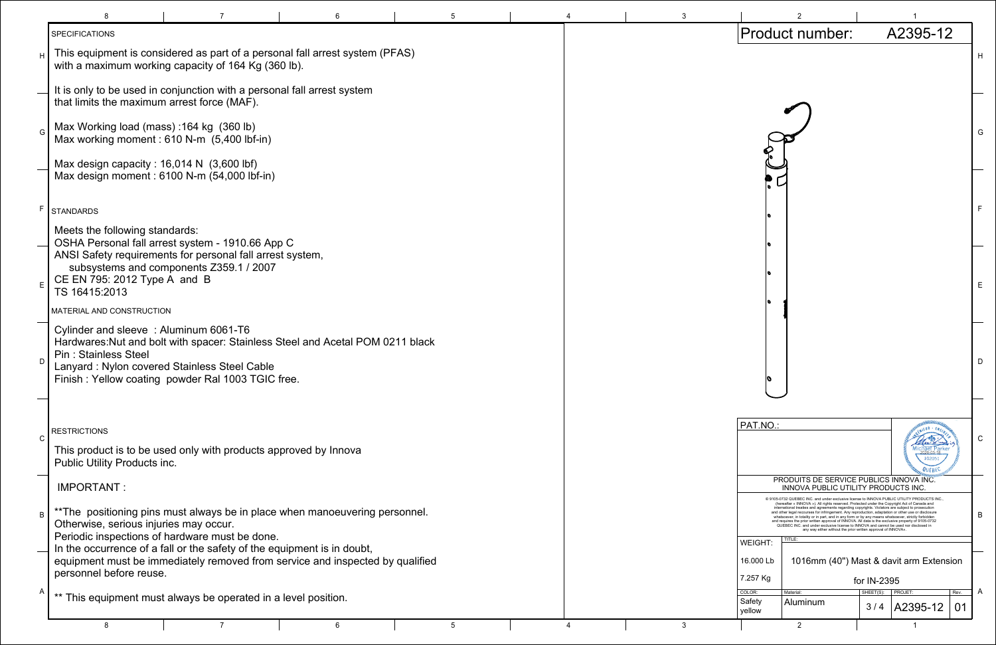|                                                                                                                                                                                                                                                                                                                                                                                                                                                                                                                                                                                                                                                                                                                                                                              | 2                                                                              |                     | 1                                                             |            |   |
|------------------------------------------------------------------------------------------------------------------------------------------------------------------------------------------------------------------------------------------------------------------------------------------------------------------------------------------------------------------------------------------------------------------------------------------------------------------------------------------------------------------------------------------------------------------------------------------------------------------------------------------------------------------------------------------------------------------------------------------------------------------------------|--------------------------------------------------------------------------------|---------------------|---------------------------------------------------------------|------------|---|
|                                                                                                                                                                                                                                                                                                                                                                                                                                                                                                                                                                                                                                                                                                                                                                              | Product number:                                                                |                     | A2395-12                                                      |            |   |
|                                                                                                                                                                                                                                                                                                                                                                                                                                                                                                                                                                                                                                                                                                                                                                              |                                                                                |                     |                                                               |            | н |
|                                                                                                                                                                                                                                                                                                                                                                                                                                                                                                                                                                                                                                                                                                                                                                              |                                                                                |                     |                                                               |            | G |
| ¢<br>O                                                                                                                                                                                                                                                                                                                                                                                                                                                                                                                                                                                                                                                                                                                                                                       |                                                                                |                     |                                                               |            | F |
| ¢<br>¢                                                                                                                                                                                                                                                                                                                                                                                                                                                                                                                                                                                                                                                                                                                                                                       |                                                                                |                     |                                                               |            | Е |
| 0                                                                                                                                                                                                                                                                                                                                                                                                                                                                                                                                                                                                                                                                                                                                                                            |                                                                                |                     |                                                               |            | D |
|                                                                                                                                                                                                                                                                                                                                                                                                                                                                                                                                                                                                                                                                                                                                                                              |                                                                                |                     |                                                               |            |   |
| PAT.NO.:                                                                                                                                                                                                                                                                                                                                                                                                                                                                                                                                                                                                                                                                                                                                                                     |                                                                                |                     | <b>MARIATOR ESTATE</b><br>102051<br><b>SELENT BEC</b> MINIMAL |            | С |
|                                                                                                                                                                                                                                                                                                                                                                                                                                                                                                                                                                                                                                                                                                                                                                              | PRODUITS DE SERVICE PUBLICS INNOVA INC.<br>INNOVA PUBLIC UTILITY PRODUCTS INC. |                     |                                                               |            |   |
| @ 9105-0732 QUEBEC INC. and under exclusive license to INNOVA PUBLIC UTILITY PRODUCTS INC.,<br>(hereafter « INNOVA »). All rights reserved. Protected under the Copyright Act of Canada and<br>international treaties and agreements regarding copyrights. Violators are subject to prosecution<br>and other legal recourses for infringement. Any reproduction, adaptation or other use or disclosure<br>whatsoever, in totality or in part, and in any form or by any means whatsoever, strictly forbidden<br>and requires the prior written approval of INNOVA. All data is the exclusive property of 9105-0732<br>QUEBEC INC. and under exclusive license to INNOVA and cannot be used nor disclosed in<br>any way either without the prior written approval of INNOVA». |                                                                                |                     |                                                               |            |   |
| <b>WEIGHT:</b>                                                                                                                                                                                                                                                                                                                                                                                                                                                                                                                                                                                                                                                                                                                                                               | TITLE:                                                                         |                     |                                                               |            |   |
| 16.000 Lb                                                                                                                                                                                                                                                                                                                                                                                                                                                                                                                                                                                                                                                                                                                                                                    | 1016mm (40") Mast & davit arm Extension                                        |                     |                                                               |            |   |
| 7.257 Kg                                                                                                                                                                                                                                                                                                                                                                                                                                                                                                                                                                                                                                                                                                                                                                     |                                                                                | for IN-2395         |                                                               |            | A |
| COLOR:<br>Safety<br>yellow                                                                                                                                                                                                                                                                                                                                                                                                                                                                                                                                                                                                                                                                                                                                                   | Material:<br>Aluminum                                                          | SHEET(S):   PROJET: | $3/4$   A2395-12                                              | Rev.<br>01 |   |
|                                                                                                                                                                                                                                                                                                                                                                                                                                                                                                                                                                                                                                                                                                                                                                              | 2                                                                              |                     | 1                                                             |            |   |

|              | <b>SPECIFICATIONS</b>                                                                                                                                                                                                                                       |    |   |  |   | Product number:                                    |                                                                                                                                                                                                                                                                                                                                                                                                                                                                                                                                                                                                                |                  | A239                   |
|--------------|-------------------------------------------------------------------------------------------------------------------------------------------------------------------------------------------------------------------------------------------------------------|----|---|--|---|----------------------------------------------------|----------------------------------------------------------------------------------------------------------------------------------------------------------------------------------------------------------------------------------------------------------------------------------------------------------------------------------------------------------------------------------------------------------------------------------------------------------------------------------------------------------------------------------------------------------------------------------------------------------------|------------------|------------------------|
| H            | This equipment is considered as part of a personal fall arrest system (PFAS)<br>with a maximum working capacity of 164 Kg (360 lb).                                                                                                                         |    |   |  |   |                                                    |                                                                                                                                                                                                                                                                                                                                                                                                                                                                                                                                                                                                                |                  |                        |
|              | It is only to be used in conjunction with a personal fall arrest system<br>that limits the maximum arrest force (MAF).                                                                                                                                      |    |   |  |   |                                                    |                                                                                                                                                                                                                                                                                                                                                                                                                                                                                                                                                                                                                |                  |                        |
| G            | Max Working load (mass) :164 kg (360 lb)<br>Max working moment: 610 N-m (5,400 lbf-in)                                                                                                                                                                      |    |   |  |   |                                                    |                                                                                                                                                                                                                                                                                                                                                                                                                                                                                                                                                                                                                |                  |                        |
|              | Max design capacity : $16,014 \text{ N}$ (3,600 lbf)<br>Max design moment: 6100 N-m (54,000 lbf-in)                                                                                                                                                         |    |   |  |   |                                                    |                                                                                                                                                                                                                                                                                                                                                                                                                                                                                                                                                                                                                |                  |                        |
|              | F STANDARDS                                                                                                                                                                                                                                                 |    |   |  |   |                                                    |                                                                                                                                                                                                                                                                                                                                                                                                                                                                                                                                                                                                                |                  |                        |
|              | Meets the following standards:<br>OSHA Personal fall arrest system - 1910.66 App C<br>ANSI Safety requirements for personal fall arrest system,<br>subsystems and components Z359.1 / 2007<br>CE EN 795: 2012 Type A and B                                  |    |   |  |   |                                                    |                                                                                                                                                                                                                                                                                                                                                                                                                                                                                                                                                                                                                |                  |                        |
| E            | TS 16415:2013                                                                                                                                                                                                                                               |    |   |  |   |                                                    |                                                                                                                                                                                                                                                                                                                                                                                                                                                                                                                                                                                                                |                  |                        |
|              | MATERIAL AND CONSTRUCTION                                                                                                                                                                                                                                   |    |   |  |   |                                                    |                                                                                                                                                                                                                                                                                                                                                                                                                                                                                                                                                                                                                |                  |                        |
| D            | Cylinder and sleeve: Aluminum 6061-T6<br>Hardwares: Nut and bolt with spacer: Stainless Steel and Acetal POM 0211 black<br><b>Pin: Stainless Steel</b><br>Lanyard: Nylon covered Stainless Steel Cable<br>Finish: Yellow coating powder Ral 1003 TGIC free. |    |   |  |   |                                                    |                                                                                                                                                                                                                                                                                                                                                                                                                                                                                                                                                                                                                |                  |                        |
| $\mathsf{C}$ | <b>RESTRICTIONS</b>                                                                                                                                                                                                                                         |    |   |  |   | PAT.NO.:                                           |                                                                                                                                                                                                                                                                                                                                                                                                                                                                                                                                                                                                                |                  |                        |
|              | This product is to be used only with products approved by Innova<br>Public Utility Products inc.                                                                                                                                                            |    |   |  |   |                                                    |                                                                                                                                                                                                                                                                                                                                                                                                                                                                                                                                                                                                                |                  |                        |
|              | IMPORTANT:                                                                                                                                                                                                                                                  |    |   |  |   |                                                    | PRODUITS DE SERVICE PUBLICS INNOVA<br><b>INNOVA PUBLIC UTILITY PRODUCTS IN</b><br>@ 9105-0732 QUEBEC INC. and under exclusive license to INNOVA PUBLIC UTILITY PF                                                                                                                                                                                                                                                                                                                                                                                                                                              |                  |                        |
| B            | ** The positioning pins must always be in place when manoeuvering personnel.<br>Otherwise, serious injuries may occur.                                                                                                                                      |    |   |  |   |                                                    | (hereafter « INNOVA »). All rights reserved. Protected under the Copyright Act of Ca<br>international treaties and agreements regarding copyrights. Violators are subject to p<br>and other legal recourses for infringement. Any reproduction, adaptation or other use o<br>whatsoever, in totality or in part, and in any form or by any means whatsoever, stric<br>and requires the prior written approval of INNOVA. All data is the exclusive property of<br>QUEBEC INC. and under exclusive license to INNOVA and cannot be used nor dis<br>any way either without the prior written approval of INNOVA» |                  |                        |
|              | Periodic inspections of hardware must be done.                                                                                                                                                                                                              |    |   |  |   | <b>TITLE</b><br>WEIGHT:                            |                                                                                                                                                                                                                                                                                                                                                                                                                                                                                                                                                                                                                |                  |                        |
|              | In the occurrence of a fall or the safety of the equipment is in doubt,<br>equipment must be immediately removed from service and inspected by qualified                                                                                                    |    |   |  |   | 16.000 Lb                                          | 1016mm (40") Mast & davit arn                                                                                                                                                                                                                                                                                                                                                                                                                                                                                                                                                                                  |                  |                        |
|              | personnel before reuse.                                                                                                                                                                                                                                     |    |   |  |   | 7.257 Kg                                           |                                                                                                                                                                                                                                                                                                                                                                                                                                                                                                                                                                                                                | for IN-2395      |                        |
| A            | ** This equipment must always be operated in a level position.                                                                                                                                                                                              |    |   |  |   | COLOR:<br>Material<br>Safety<br>Aluminum<br>yellow |                                                                                                                                                                                                                                                                                                                                                                                                                                                                                                                                                                                                                | SHEET(S):<br>3/4 | <b>PROJET:</b><br>A239 |
|              | 8                                                                                                                                                                                                                                                           | -6 | 5 |  | 3 | 2                                                  |                                                                                                                                                                                                                                                                                                                                                                                                                                                                                                                                                                                                                |                  |                        |